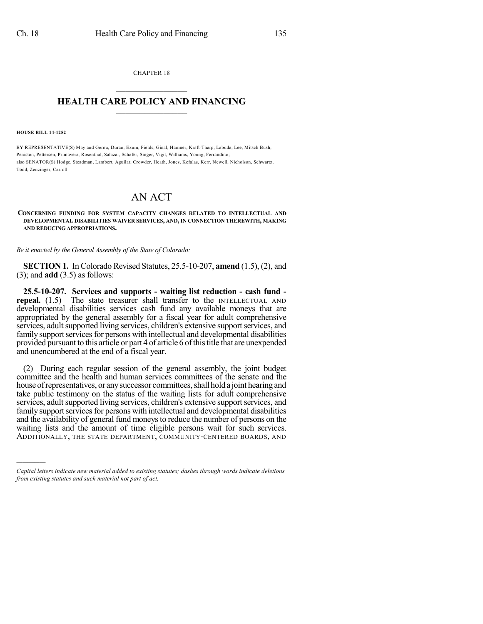CHAPTER 18  $\mathcal{L}_\text{max}$  . The set of the set of the set of the set of the set of the set of the set of the set of the set of the set of the set of the set of the set of the set of the set of the set of the set of the set of the set

### **HEALTH CARE POLICY AND FINANCING**  $\_$   $\_$   $\_$   $\_$   $\_$   $\_$   $\_$   $\_$

**HOUSE BILL 14-1252**

)))))

BY REPRESENTATIVE(S) May and Gerou, Duran, Exum, Fields, Ginal, Hamner, Kraft-Tharp, Labuda, Lee, Mitsch Bush, Peniston, Pettersen, Primavera, Rosenthal, Salazar, Schafer, Singer, Vigil, Williams, Young, Ferrandino; also SENATOR(S) Hodge, Steadman, Lambert, Aguilar, Crowder, Heath, Jones, Kefalas, Kerr, Newell, Nicholson, Schwartz, Todd, Zenzinger, Carroll.

# AN ACT

### **CONCERNING FUNDING FOR SYSTEM CAPACITY CHANGES RELATED TO INTELLECTUAL AND DEVELOPMENTAL DISABILITIES WAIVER SERVICES, AND, IN CONNECTION THEREWITH, MAKING AND REDUCING APPROPRIATIONS.**

*Be it enacted by the General Assembly of the State of Colorado:*

**SECTION 1.** In Colorado Revised Statutes, 25.5-10-207, **amend** (1.5), (2), and (3); and **add** (3.5) as follows:

**25.5-10-207. Services and supports - waiting list reduction - cash fund repeal.** (1.5) The state treasurer shall transfer to the INTELLECTUAL AND developmental disabilities services cash fund any available moneys that are appropriated by the general assembly for a fiscal year for adult comprehensive services, adult supported living services, children's extensive support services, and family support services for persons with intellectual and developmental disabilities provided pursuant to this article or part 4 of article 6 ofthistitle that are unexpended and unencumbered at the end of a fiscal year.

(2) During each regular session of the general assembly, the joint budget committee and the health and human services committees of the senate and the house of representatives, or any successor committees, shall hold a joint hearing and take public testimony on the status of the waiting lists for adult comprehensive services, adult supported living services, children's extensive support services, and family support services for persons with intellectual and developmental disabilities and the availability of general fund moneys to reduce the number of persons on the waiting lists and the amount of time eligible persons wait for such services. ADDITIONALLY, THE STATE DEPARTMENT, COMMUNITY-CENTERED BOARDS, AND

*Capital letters indicate new material added to existing statutes; dashes through words indicate deletions from existing statutes and such material not part of act.*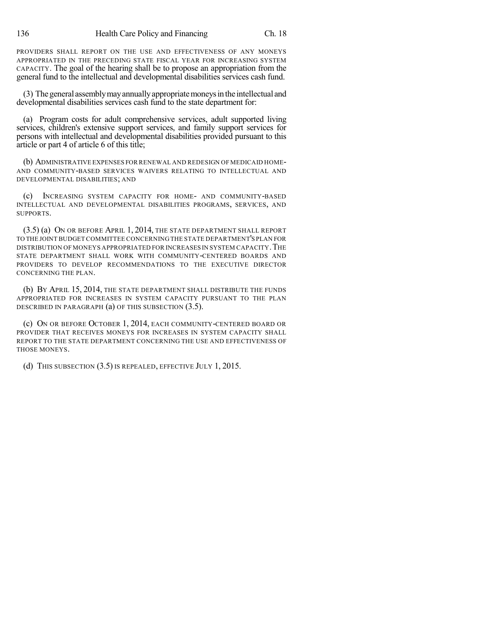PROVIDERS SHALL REPORT ON THE USE AND EFFECTIVENESS OF ANY MONEYS APPROPRIATED IN THE PRECEDING STATE FISCAL YEAR FOR INCREASING SYSTEM CAPACITY. The goal of the hearing shall be to propose an appropriation from the general fund to the intellectual and developmental disabilities services cash fund.

(3) Thegeneral assemblymayannuallyappropriatemoneysinthe intellectual and developmental disabilities services cash fund to the state department for:

(a) Program costs for adult comprehensive services, adult supported living services, children's extensive support services, and family support services for persons with intellectual and developmental disabilities provided pursuant to this article or part 4 of article 6 of this title;

(b) ADMINISTRATIVE EXPENSES FOR RENEWAL AND REDESIGN OF MEDICAID HOME-AND COMMUNITY-BASED SERVICES WAIVERS RELATING TO INTELLECTUAL AND DEVELOPMENTAL DISABILITIES; AND

(c) INCREASING SYSTEM CAPACITY FOR HOME- AND COMMUNITY-BASED INTELLECTUAL AND DEVELOPMENTAL DISABILITIES PROGRAMS, SERVICES, AND SUPPORTS.

(3.5) (a) ON OR BEFORE APRIL 1, 2014, THE STATE DEPARTMENT SHALL REPORT TO THE JOINT BUDGET COMMITTEE CONCERNING THE STATE DEPARTMENT'S PLAN FOR DISTRIBUTION OF MONEYS APPROPRIATED FOR INCREASES IN SYSTEM CAPACITY.THE STATE DEPARTMENT SHALL WORK WITH COMMUNITY-CENTERED BOARDS AND PROVIDERS TO DEVELOP RECOMMENDATIONS TO THE EXECUTIVE DIRECTOR CONCERNING THE PLAN.

(b) BY APRIL 15, 2014, THE STATE DEPARTMENT SHALL DISTRIBUTE THE FUNDS APPROPRIATED FOR INCREASES IN SYSTEM CAPACITY PURSUANT TO THE PLAN DESCRIBED IN PARAGRAPH (a) OF THIS SUBSECTION (3.5).

(c) ON OR BEFORE OCTOBER 1, 2014, EACH COMMUNITY-CENTERED BOARD OR PROVIDER THAT RECEIVES MONEYS FOR INCREASES IN SYSTEM CAPACITY SHALL REPORT TO THE STATE DEPARTMENT CONCERNING THE USE AND EFFECTIVENESS OF THOSE MONEYS.

(d) THIS SUBSECTION (3.5) IS REPEALED, EFFECTIVE JULY 1, 2015.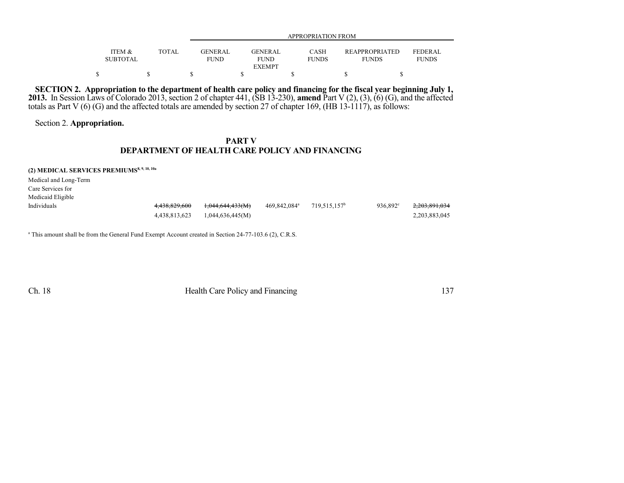|                           |       |                    | <b>APPROPRIATION FROM</b>                       |                             |                                       |                                |  |  |
|---------------------------|-------|--------------------|-------------------------------------------------|-----------------------------|---------------------------------------|--------------------------------|--|--|
| ITEM &<br><b>SUBTOTAL</b> | TOTAL | GENER AL.<br>FUND. | <b>GENER AL</b><br><b>FUND</b><br><b>EXEMPT</b> | <b>CASH</b><br><b>FUNDS</b> | <b>REAPPROPRIATED</b><br><b>FUNDS</b> | <b>FEDERAL</b><br><b>FUNDS</b> |  |  |
|                           |       |                    |                                                 |                             |                                       |                                |  |  |

SECTION 2. Appropriation to the department of health care policy and financing for the fiscal year beginning July 1, **2013.** In Session Laws of Colorado 2013, section 2 of chapter 441, (SB 13-230), **amend** Part V (2), (3), (6) (G), and the affected totals as Part V (6) (G) and the affected totals are amended by section 27 of chapter 169, (HB 13-1117), as follows:

Section 2. **Appropriation.**

### **PART V DEPARTMENT OF HEALTH CARE POLICY AND FINANCING**

**(2) MEDICAL SERVICES PREMIUMS8, 9, 10, 10a**

Medical and Long-Term Care Services for Medicaid Eligible

| Individuals |               | 4,438,829,600 1,044,644,433(M) | 469.842.084ª | 719.515.157 <sup>b</sup> | $936.892^{\circ}$ | 2.203.891.034 |
|-------------|---------------|--------------------------------|--------------|--------------------------|-------------------|---------------|
|             | 4.438.813.623 | 1,044,636,445(M)               |              |                          |                   | 2,203,883,045 |

<sup>a</sup> This amount shall be from the General Fund Exempt Account created in Section 24-77-103.6 (2), C.R.S.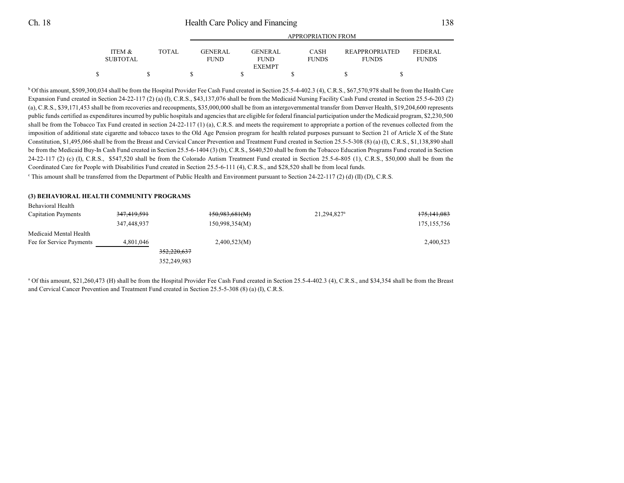|                           |       |                                | APPROPRIATION FROM            |                      |                                       |                                |  |  |
|---------------------------|-------|--------------------------------|-------------------------------|----------------------|---------------------------------------|--------------------------------|--|--|
| ITEM &<br><b>SUBTOTAL</b> | TOTAL | <b>GENER AL</b><br><b>FUND</b> | <b>GENERAL</b><br><b>FUND</b> | CASH<br><b>FUNDS</b> | <b>REAPPROPRIATED</b><br><b>FUNDS</b> | <b>FEDERAL</b><br><b>FUNDS</b> |  |  |
|                           |       |                                | <b>EXEMPT</b>                 |                      |                                       |                                |  |  |
| \$                        |       |                                |                               |                      |                                       |                                |  |  |

<sup>b</sup> Of this amount, \$509,300,034 shall be from the Hospital Provider Fee Cash Fund created in Section 25.5-4-402.3 (4), C.R.S., \$67,570,978 shall be from the Health Care Expansion Fund created in Section 24-22-117 (2) (a) (I), C.R.S., \$43,137,076 shall be from the Medicaid Nursing Facility Cash Fund created in Section 25.5-6-203 (2) (a), C.R.S., \$39,171,453 shall be from recoveries and recoupments, \$35,000,000 shall be from an intergovernmental transfer from Denver Health, \$19,204,600 represents public funds certified as expenditures incurred by public hospitals and agencies that are eligible for federal financial participation under the Medicaid program, \$2,230,500 shall be from the Tobacco Tax Fund created in section 24-22-117 (1) (a), C.R.S. and meets the requirement to appropriate a portion of the revenues collected from the imposition of additional state cigarette and tobacco taxes to the Old Age Pension program for health related purposes pursuant to Section 21 of Article X of the State Constitution, \$1,495,066 shall be from the Breast and Cervical Cancer Prevention and Treatment Fund created in Section 25.5-5-308 (8) (a) (I), C.R.S., \$1,138,890 shall be from the Medicaid Buy-In Cash Fund created in Section 25.5-6-1404 (3) (b), C.R.S., \$640,520 shall be from the Tobacco Education Programs Fund created in Section  $24-22-117$  (2) (c) (I), C.R.S., \$547,520 shall be from the Colorado Autism Treatment Fund created in Section 25.5-6-805 (1), C.R.S., \$50,000 shall be from the Coordinated Care for People with Disabilities Fund created in Section 25.5-6-111 (4), C.R.S., and \$28,520 shall be from local funds.

c This amount shall be transferred from the Department of Public Health and Environment pursuant to Section 24-22-117 (2) (d) (II) (D), C.R.S.

#### **(3) BEHAVIORAL HEALTH COMMUNITY PROGRAMS**

| Behavioral Health          |             |                |                         |                        |
|----------------------------|-------------|----------------|-------------------------|------------------------|
| <b>Capitation Payments</b> | 347,419,591 | 150,983,681(M) | 21,294,827 <sup>a</sup> | <del>175,141,083</del> |
|                            | 347,448,937 | 150,998,354(M) |                         | 175, 155, 756          |
| Medicaid Mental Health     |             |                |                         |                        |
| Fee for Service Payments   | 4,801,046   | 2,400,523(M)   |                         | 2,400,523              |
|                            |             | 352,220,637    |                         |                        |
|                            |             | 352,249,983    |                         |                        |

<sup>a</sup> Of this amount, \$21,260,473 (H) shall be from the Hospital Provider Fee Cash Fund created in Section 25.5-4-402.3 (4), C.R.S., and \$34,354 shall be from the Breast and Cervical Cancer Prevention and Treatment Fund created in Section 25.5-5-308 (8) (a) (I), C.R.S.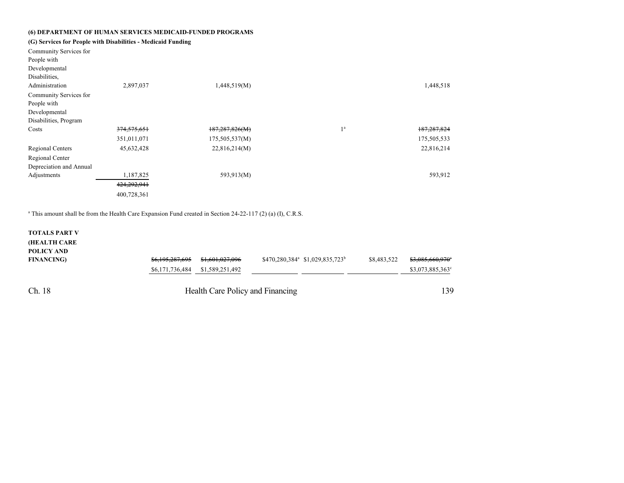### **(6) DEPARTMENT OF HUMAN SERVICES MEDICAID-FUNDED PROGRAMS**

## **(G) Services for People with Disabilities - Medicaid Funding**

| Community Services for<br>People with<br>Developmental<br>Disabilities,<br>Administration | 2,897,037   | 1,448,519(M)   |                | 1,448,518     |
|-------------------------------------------------------------------------------------------|-------------|----------------|----------------|---------------|
| Community Services for                                                                    |             |                |                |               |
| People with<br>Developmental                                                              |             |                |                |               |
| Disabilities, Program                                                                     |             |                |                |               |
| Costs                                                                                     | 374,575,651 | 187,287,826(M) | 1 <sup>a</sup> | 187, 287, 824 |
|                                                                                           | 351,011,071 | 175,505,537(M) |                | 175,505,533   |
| <b>Regional Centers</b>                                                                   | 45,632,428  | 22,816,214(M)  |                | 22,816,214    |
| Regional Center                                                                           |             |                |                |               |
| Depreciation and Annual                                                                   |             |                |                |               |
| Adjustments                                                                               | 1,187,825   | 593,913(M)     |                | 593,912       |
|                                                                                           | 424,292,941 |                |                |               |
|                                                                                           | 400,728,361 |                |                |               |

a This amount shall be from the Health Care Expansion Fund created in Section 24-22-117 (2) (a) (I), C.R.S.

### **TOTALS PART V (HEALTH CARE POLICY AND**

| POLICY AND<br><b>FINANCING)</b> | <del>\$6,195,287,695</del><br>\$6,171,736,484 \$1,589,251,492 | <del>\$1,601,027,096</del>       | $$470,280,384^a \ $1,029,835,723^b$ | \$8,483,522 | <del>\$3.085.660.970</del> °<br>\$3,073,885,363° |
|---------------------------------|---------------------------------------------------------------|----------------------------------|-------------------------------------|-------------|--------------------------------------------------|
| Ch. 18                          |                                                               | Health Care Policy and Financing |                                     |             | 139                                              |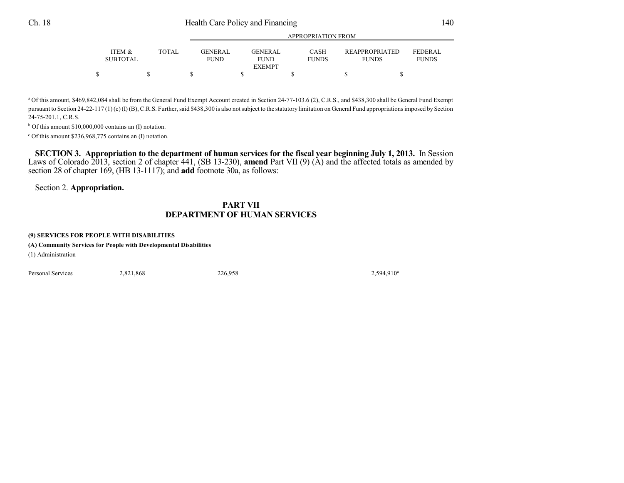|                                                    |       |                         | APPROPRIATION FROM                             |                      |                                |                                |  |  |  |
|----------------------------------------------------|-------|-------------------------|------------------------------------------------|----------------------|--------------------------------|--------------------------------|--|--|--|
| <b>ITEM <math>\&amp;</math></b><br><b>SUBTOTAL</b> | TOTAL | GENER AL<br><b>FUND</b> | <b>GENERAL</b><br><b>FUND</b><br><b>EXEMPT</b> | CASH<br><b>FUNDS</b> | REAPPROPRIATED<br><b>FUNDS</b> | <b>FEDERAL</b><br><b>FUNDS</b> |  |  |  |
|                                                    |       |                         |                                                |                      |                                |                                |  |  |  |

<sup>a</sup> Of this amount, \$469,842,084 shall be from the General Fund Exempt Account created in Section 24-77-103.6 (2), C.R.S., and \$438,300 shall be General Fund Exempt pursuant to Section 24-22-117 (1) (c) (I) (B), C.R.S. Further, said \$438,300 is also not subject to the statutory limitation on General Fund appropriations imposed by Section 24-75-201.1, C.R.S.

b Of this amount \$10,000,000 contains an (I) notation.

c Of this amount \$236,968,775 contains an (I) notation.

SECTION 3. Appropriation to the department of human services for the fiscal year beginning July 1, 2013. In Session Laws of Colorado 2013, section 2 of chapter 441, (SB 13-230), **amend** Part VII (9) (A) and the affected totals as amended by section 28 of chapter 169, (HB 13-1117); and **add** footnote 30a, as follows:

Section 2. **Appropriation.**

## **PART VII DEPARTMENT OF HUMAN SERVICES**

### **(9) SERVICES FOR PEOPLE WITH DISABILITIES**

**(A) Community Services for People with Developmental Disabilities**

(1) Administration

Personal Services 2,821,868 226,958 2,594,910

2,594,910<sup>a</sup>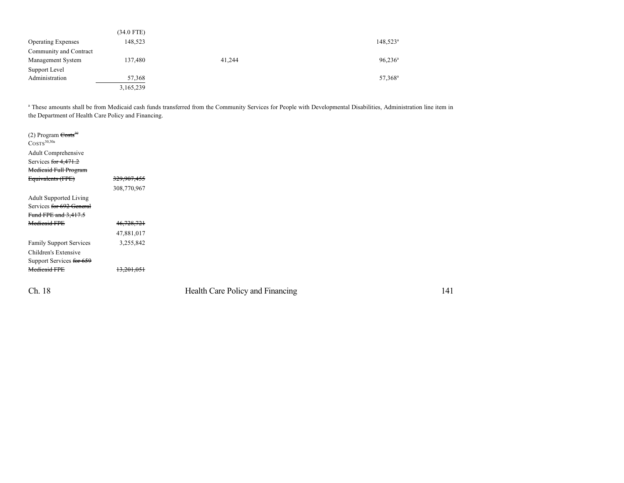|                           | $(34.0$ FTE) |        |                      |
|---------------------------|--------------|--------|----------------------|
| <b>Operating Expenses</b> | 148,523      |        | 148,523 <sup>a</sup> |
| Community and Contract    |              |        |                      |
| Management System         | 137,480      | 41,244 | $96,236^{\rm a}$     |
| Support Level             |              |        |                      |
| Administration            | 57,368       |        | 57,368 <sup>a</sup>  |
|                           | 3,165,239    |        |                      |

<sup>a</sup> These amounts shall be from Medicaid cash funds transferred from the Community Services for People with Developmental Disabilities, Administration line item in the Department of Health Care Policy and Financing.

| (2) Program $\text{Costs}^{30}$<br>$\text{COSTS}^{30,30a}$ |             |
|------------------------------------------------------------|-------------|
| Adult Comprehensive                                        |             |
| Services for 4,471.2                                       |             |
| <b>Medicaid Full Program</b>                               |             |
| Equivalents (FPE)                                          | 329,907,455 |
|                                                            | 308,770,967 |
| <b>Adult Supported Living</b>                              |             |
| Services for 692 General                                   |             |
| Fund FPE and 3,417.5                                       |             |
| <b>Medicaid FPE</b>                                        | 46,728,721  |
|                                                            | 47,881,017  |
| <b>Family Support Services</b>                             | 3,255,842   |
| Children's Extensive                                       |             |
| Support Services for 659                                   |             |
| <b>Medicaid FPE</b>                                        | 13,201,051  |
|                                                            |             |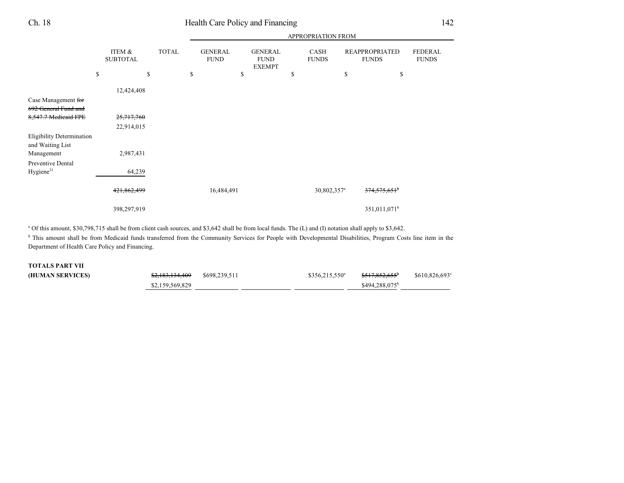|                                                      |                           |              |                               |                                                | APPROPRIATION FROM      |                                       |                                |  |
|------------------------------------------------------|---------------------------|--------------|-------------------------------|------------------------------------------------|-------------------------|---------------------------------------|--------------------------------|--|
|                                                      | ITEM &<br><b>SUBTOTAL</b> | <b>TOTAL</b> | <b>GENERAL</b><br><b>FUND</b> | <b>GENERAL</b><br><b>FUND</b><br><b>EXEMPT</b> | CASH<br><b>FUNDS</b>    | <b>REAPPROPRIATED</b><br><b>FUNDS</b> | <b>FEDERAL</b><br><b>FUNDS</b> |  |
|                                                      | \$                        | \$           | \$                            | \$                                             | \$                      | \$<br>\$                              |                                |  |
|                                                      | 12,424,408                |              |                               |                                                |                         |                                       |                                |  |
| Case Management for<br>692 General Fund and          |                           |              |                               |                                                |                         |                                       |                                |  |
| 8,547.7 Medicaid FPE                                 | 25,717,760                |              |                               |                                                |                         |                                       |                                |  |
|                                                      | 22,914,015                |              |                               |                                                |                         |                                       |                                |  |
| <b>Eligibility Determination</b><br>and Waiting List |                           |              |                               |                                                |                         |                                       |                                |  |
| Management                                           | 2,987,431                 |              |                               |                                                |                         |                                       |                                |  |
| Preventive Dental<br>Hygiene <sup>31</sup>           | 64,239                    |              |                               |                                                |                         |                                       |                                |  |
|                                                      | 421,862,499               |              | 16,484,491                    |                                                | 30,802,357 <sup>a</sup> | 374,575,651 <sup>b</sup>              |                                |  |
|                                                      | 398,297,919               |              |                               |                                                |                         | 351,011,071 <sup>b</sup>              |                                |  |

<sup>a</sup> Of this amount, \$30,798,715 shall be from client cash sources, and \$3,642 shall be from local funds. The (L) and (I) notation shall apply to \$3,642.

<sup>b</sup> This amount shall be from Medicaid funds transferred from the Community Services for People with Developmental Disabilities, Program Costs line item in the Department of Health Care Policy and Financing.

## **TOTALS PART VII**

| (HUMAN SERVICES) | \$2,183,134,409 | \$698,239.511 | $$356,215,550^a$ | <del>\$517.852.655</del>   | \$610,826,693° |
|------------------|-----------------|---------------|------------------|----------------------------|----------------|
|                  | \$2,159,569,829 |               |                  | \$494,288,075 <sup>b</sup> |                |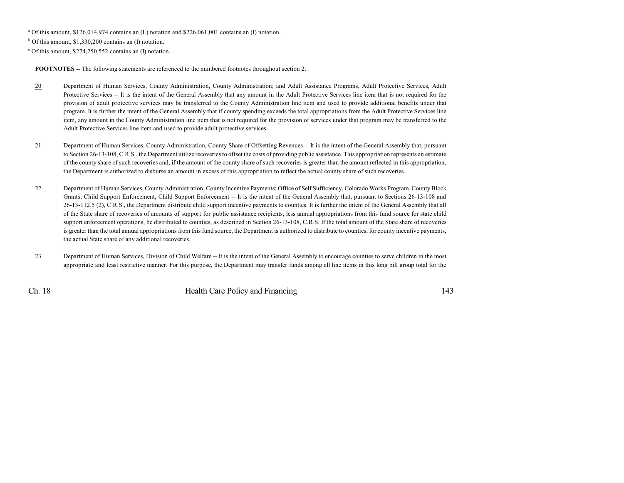<sup>a</sup> Of this amount, \$126,014,974 contains an (L) notation and \$226,061,001 contains an (I) notation.

b Of this amount, \$1,330,200 contains an (I) notation.

c Of this amount, \$274,250,552 contains an (I) notation.

**FOOTNOTES** -- The following statements are referenced to the numbered footnotes throughout section 2.

- 20 Department of Human Services, County Administration, County Administration; and Adult Assistance Programs, Adult Protective Services, Adult Protective Services -- It is the intent of the General Assembly that any amount in the Adult Protective Services line item that is not required for the provision of adult protective services may be transferred to the County Administration line item and used to provide additional benefits under that program. It is further the intent of the General Assembly that if county spending exceeds the total appropriations from the Adult Protective Services line item, any amount in the County Administration line item that is not required for the provision of services under that program may be transferred to the Adult Protective Services line item and used to provide adult protective services.
- 21 Department of Human Services, County Administration, County Share of Offsetting Revenues -- It is the intent of the General Assembly that, pursuant to Section 26-13-108, C.R.S., the Department utilize recoveries to offset the costs of providing public assistance. This appropriation represents an estimate of the county share of such recoveries and, if the amount of the county share of such recoveries is greater than the amount reflected in this appropriation, the Department is authorized to disburse an amount in excess of this appropriation to reflect the actual county share of such recoveries.
- 22 Department of Human Services, County Administration, County Incentive Payments; Office of Self Sufficiency, Colorado Works Program, CountyBlock Grants; Child Support Enforcement, Child Support Enforcement -- It is the intent of the General Assembly that, pursuant to Sections 26-13-108 and 26-13-112.5 (2), C.R.S., the Department distribute child support incentive payments to counties. It is further the intent of the General Assembly that all of the State share of recoveries of amounts of support for public assistance recipients, less annual appropriations from this fund source for state child support enforcement operations, be distributed to counties, as described in Section 26-13-108, C.R.S. If the total amount of the State share of recoveries is greater than the total annual appropriations from this fund source, the Department is authorized to distribute to counties, for county incentive payments, the actual State share of any additional recoveries.
- 23 Department of Human Services, Division of Child Welfare -- It is the intent of the General Assembly to encourage counties to serve children in the most appropriate and least restrictive manner. For this purpose, the Department may transfer funds among all line items in this long bill group total for the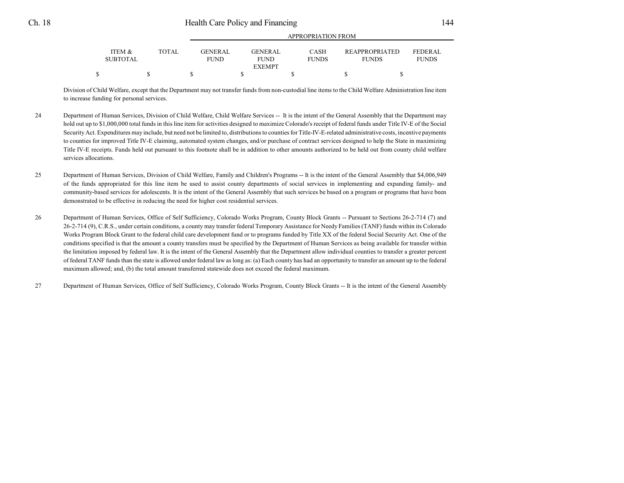|                                      |              |                               |                                                                               | ALLINOI INTERIOR LINORI               |                                |
|--------------------------------------|--------------|-------------------------------|-------------------------------------------------------------------------------|---------------------------------------|--------------------------------|
| <b>ITEM &amp;</b><br><b>SUBTOTAL</b> | <b>TOTAL</b> | <b>GENERAL</b><br><b>FUND</b> | <b>CASH</b><br><b>GENERAL</b><br><b>FUNDS</b><br><b>FUND</b><br><b>EXEMPT</b> | <b>REAPPROPRIATED</b><br><b>FUNDS</b> | <b>FEDERAL</b><br><b>FUNDS</b> |
|                                      |              |                               |                                                                               |                                       |                                |
|                                      |              |                               |                                                                               |                                       |                                |

APPROPRIATION FROM

Division of Child Welfare, except that the Department may not transfer funds from non-custodial line items to the Child Welfare Administration line item to increase funding for personal services.

- 24 Department of Human Services, Division of Child Welfare, Child Welfare Services -- It is the intent of the General Assembly that the Department may hold out up to \$1,000,000 total funds in this line item for activities designed to maximize Colorado's receipt of federal funds under Title IV-E of the Social Security Act. Expenditures may include, but need not be limited to, distributions to counties for Title-IV-E-related administrative costs, incentive payments to counties for improved Title IV-E claiming, automated system changes, and/or purchase of contract services designed to help the State in maximizing Title IV-E receipts. Funds held out pursuant to this footnote shall be in addition to other amounts authorized to be held out from county child welfare services allocations.
- 25 Department of Human Services, Division of Child Welfare, Family and Children's Programs -- It is the intent of the General Assembly that \$4,006,949 of the funds appropriated for this line item be used to assist county departments of social services in implementing and expanding family- and community-based services for adolescents. It is the intent of the General Assembly that such services be based on a program or programs that have been demonstrated to be effective in reducing the need for higher cost residential services.
- 26 Department of Human Services, Office of Self Sufficiency, Colorado Works Program, County Block Grants -- Pursuant to Sections 26-2-714 (7) and 26-2-714 (9), C.R.S., under certain conditions, a county may transfer federal Temporary Assistance for Needy Families (TANF) funds within its Colorado Works Program Block Grant to the federal child care development fund or to programs funded by Title XX of the federal Social Security Act. One of the conditions specified is that the amount a county transfers must be specified by the Department of Human Services as being available for transfer within the limitation imposed by federal law. It is the intent of the General Assembly that the Department allow individual counties to transfer a greater percent of federal TANF funds than the state is allowed under federal law as long as: (a) Each county has had an opportunity to transfer an amount up to the federal maximum allowed; and, (b) the total amount transferred statewide does not exceed the federal maximum.
- 27 Department of Human Services, Office of Self Sufficiency, Colorado Works Program, County Block Grants -- It is the intent of the General Assembly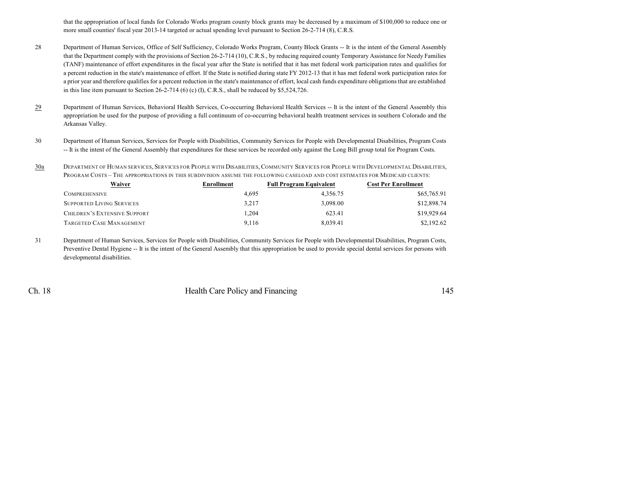that the appropriation of local funds for Colorado Works program county block grants may be decreased by a maximum of \$100,000 to reduce one or more small counties' fiscal year 2013-14 targeted or actual spending level pursuant to Section 26-2-714 (8), C.R.S.

- 28 Department of Human Services, Office of Self Sufficiency, Colorado Works Program, County Block Grants -- It is the intent of the General Assembly that the Department comply with the provisions of Section 26-2-714 (10), C.R.S., by reducing required county Temporary Assistance for Needy Families (TANF) maintenance of effort expenditures in the fiscal year after the State is notified that it has met federal work participation rates and qualifies for a percent reduction in the state's maintenance of effort. If the State is notified during state FY 2012-13 that it has met federal work participation rates for a prior year and therefore qualifies for a percent reduction in the state's maintenance of effort, local cash funds expenditure obligations that are established in this line item pursuant to Section 26-2-714 (6) (c) (I), C.R.S., shall be reduced by \$5,524,726.
- 29 Department of Human Services, Behavioral Health Services, Co-occurring Behavioral Health Services -- It is the intent of the General Assembly this appropriation be used for the purpose of providing a full continuum of co-occurring behavioral health treatment services in southern Colorado and the Arkansas Valley.
- 30 Department of Human Services, Services for People with Disabilities, Community Services for People with Developmental Disabilities, Program Costs -- It is the intent of the General Assembly that expenditures for these services be recorded only against the Long Bill group total for Program Costs.

30a DEPARTMENT OF HUMAN SERVICES, SERVICES FOR PEOPLE WITH DISABILITIES, COMMUNITY SERVICES FOR PEOPLE WITH DEVELOPMENTAL DISABILITIES, PROGRAM COSTS – THE APPROPRIATIONS IN THIS SUBDIVISION ASSUME THE FOLLOWING CASELOAD AND COST ESTIMATES FOR MEDICAID CLIENTS:

| Waiver                              | Enrollment | <b>Full Program Equivalent</b> | Cost Per Enrollment |  |
|-------------------------------------|------------|--------------------------------|---------------------|--|
| COMPREHENSIVE                       | 4.695      | 4.356.75                       | \$65,765.91         |  |
| <b>SUPPORTED LIVING SERVICES</b>    | 3.217      | 3.098.00                       | \$12,898.74         |  |
| <b>CHILDREN'S EXTENSIVE SUPPORT</b> | 1.204      | 623.41                         | \$19,929.64         |  |
| TARGETED CASE MANAGEMENT            | 9.116      | 8.039.41                       | \$2,192.62          |  |

31 Department of Human Services, Services for People with Disabilities, Community Services for People with Developmental Disabilities, Program Costs, Preventive Dental Hygiene -- It is the intent of the General Assembly that this appropriation be used to provide special dental services for persons with developmental disabilities.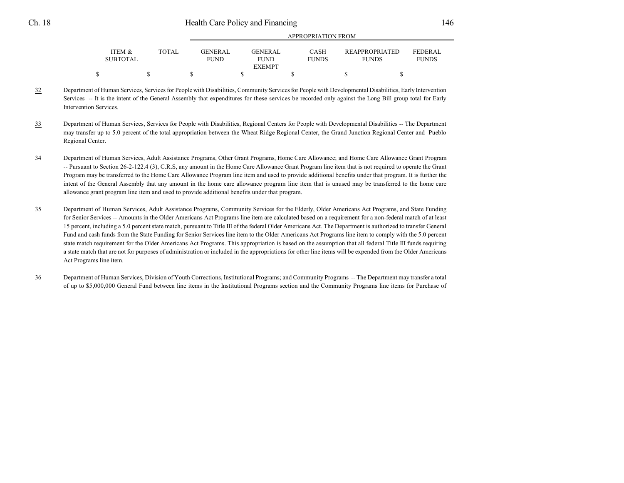| <b>ITEM &amp;</b><br><b>SUBTOTAL</b> | <b>TOTAL</b> | <b>GENERAL</b><br><b>FUND</b> | <b>GENERAL</b><br><b>FUND</b><br><b>EXEMPT</b> | <b>CASH</b><br><b>FUNDS</b> | <b>REAPPROPRIATED</b><br><b>FUNDS</b> | FEDER AL<br><b>FUNDS</b> |  |  |  |
|--------------------------------------|--------------|-------------------------------|------------------------------------------------|-----------------------------|---------------------------------------|--------------------------|--|--|--|
|                                      |              |                               |                                                |                             |                                       |                          |  |  |  |

APPROPRIATION FROM

- 32 Department of Human Services, Services for People with Disabilities, Community Services for People with Developmental Disabilities, Early Intervention Services -- It is the intent of the General Assembly that expenditures for these services be recorded only against the Long Bill group total for Early Intervention Services.
- 33 Department of Human Services, Services for People with Disabilities, Regional Centers for People with Developmental Disabilities -- The Department may transfer up to 5.0 percent of the total appropriation between the Wheat Ridge Regional Center, the Grand Junction Regional Center and Pueblo Regional Center.
- 34 Department of Human Services, Adult Assistance Programs, Other Grant Programs, Home Care Allowance; and Home Care Allowance Grant Program -- Pursuant to Section 26-2-122.4 (3), C.R.S, any amount in the Home Care Allowance Grant Program line item that is not required to operate the Grant Program may be transferred to the Home Care Allowance Program line item and used to provide additional benefits under that program. It is further the intent of the General Assembly that any amount in the home care allowance program line item that is unused may be transferred to the home care allowance grant program line item and used to provide additional benefits under that program.
- 35 Department of Human Services, Adult Assistance Programs, Community Services for the Elderly, Older Americans Act Programs, and State Funding for Senior Services -- Amounts in the Older Americans Act Programs line item are calculated based on a requirement for a non-federal match of at least 15 percent, including a 5.0 percent state match, pursuant to Title III of the federal Older Americans Act. The Department is authorized to transfer General Fund and cash funds from the State Funding for Senior Services line item to the Older Americans Act Programs line item to comply with the 5.0 percent state match requirement for the Older Americans Act Programs. This appropriation is based on the assumption that all federal Title III funds requiring a state match that are not for purposes of administration or included in the appropriations for other line items will be expended from the Older Americans Act Programs line item.
- 36 Department of Human Services, Division of Youth Corrections, Institutional Programs; and Community Programs -- The Department may transfer a total of up to \$5,000,000 General Fund between line items in the Institutional Programs section and the Community Programs line items for Purchase of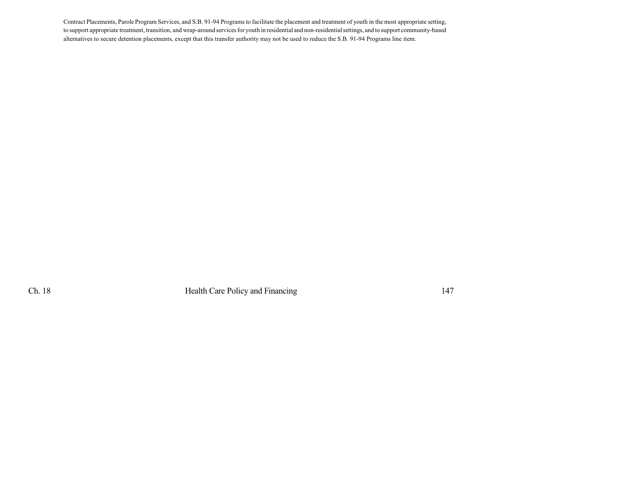Contract Placements, Parole Program Services, and S.B. 91-94 Programs to facilitate the placement and treatment of youth in the most appropriate setting, to support appropriate treatment, transition, and wrap-around services for youth in residential and non-residentialsettings, and to support community-based alternatives to secure detention placements, except that this transfer authority may not be used to reduce the S.B. 91-94 Programs line item.